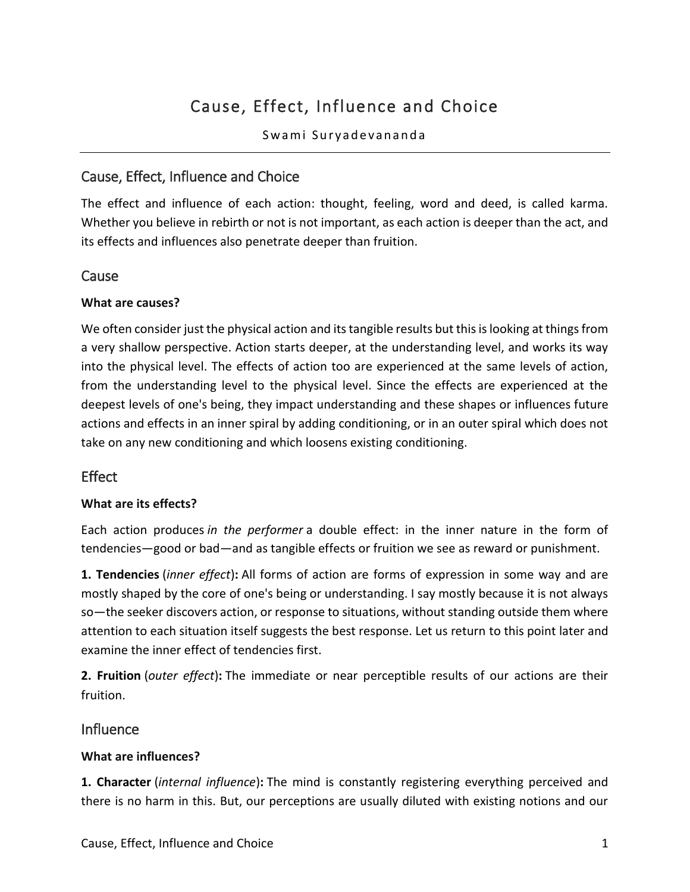# Cause, Effect, Influence and Choice

Swami Suryadevananda

## Cause, Effect, Influence and Choice

The effect and influence of each action: thought, feeling, word and deed, is called karma. Whether you believe in rebirth or not is not important, as each action is deeper than the act, and its effects and influences also penetrate deeper than fruition.

#### **Cause**

#### **What are causes?**

We often consider just the physical action and its tangible results but this is looking at things from a very shallow perspective. Action starts deeper, at the understanding level, and works its way into the physical level. The effects of action too are experienced at the same levels of action, from the understanding level to the physical level. Since the effects are experienced at the deepest levels of one's being, they impact understanding and these shapes or influences future actions and effects in an inner spiral by adding conditioning, or in an outer spiral which does not take on any new conditioning and which loosens existing conditioning.

## **Effect**

#### **What are its effects?**

Each action produces *in the performer* a double effect: in the inner nature in the form of tendencies—good or bad—and as tangible effects or fruition we see as reward or punishment.

**1. Tendencies** (*inner effect*)**:** All forms of action are forms of expression in some way and are mostly shaped by the core of one's being or understanding. I say mostly because it is not always so—the seeker discovers action, or response to situations, without standing outside them where attention to each situation itself suggests the best response. Let us return to this point later and examine the inner effect of tendencies first.

**2. Fruition** (*outer effect*)**:** The immediate or near perceptible results of our actions are their fruition.

#### Influence

#### **What are influences?**

**1. Character** (*internal influence*)**:** The mind is constantly registering everything perceived and there is no harm in this. But, our perceptions are usually diluted with existing notions and our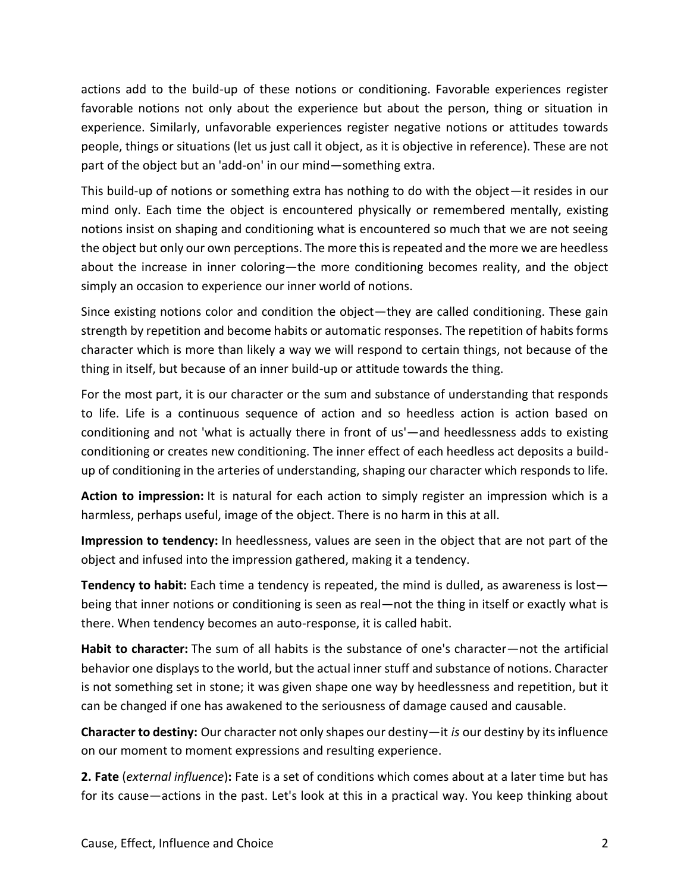actions add to the build-up of these notions or conditioning. Favorable experiences register favorable notions not only about the experience but about the person, thing or situation in experience. Similarly, unfavorable experiences register negative notions or attitudes towards people, things or situations (let us just call it object, as it is objective in reference). These are not part of the object but an 'add-on' in our mind—something extra.

This build-up of notions or something extra has nothing to do with the object—it resides in our mind only. Each time the object is encountered physically or remembered mentally, existing notions insist on shaping and conditioning what is encountered so much that we are not seeing the object but only our own perceptions. The more this is repeated and the more we are heedless about the increase in inner coloring—the more conditioning becomes reality, and the object simply an occasion to experience our inner world of notions.

Since existing notions color and condition the object—they are called conditioning. These gain strength by repetition and become habits or automatic responses. The repetition of habits forms character which is more than likely a way we will respond to certain things, not because of the thing in itself, but because of an inner build-up or attitude towards the thing.

For the most part, it is our character or the sum and substance of understanding that responds to life. Life is a continuous sequence of action and so heedless action is action based on conditioning and not 'what is actually there in front of us'—and heedlessness adds to existing conditioning or creates new conditioning. The inner effect of each heedless act deposits a buildup of conditioning in the arteries of understanding, shaping our character which responds to life.

**Action to impression:** It is natural for each action to simply register an impression which is a harmless, perhaps useful, image of the object. There is no harm in this at all.

**Impression to tendency:** In heedlessness, values are seen in the object that are not part of the object and infused into the impression gathered, making it a tendency.

**Tendency to habit:** Each time a tendency is repeated, the mind is dulled, as awareness is lost being that inner notions or conditioning is seen as real—not the thing in itself or exactly what is there. When tendency becomes an auto-response, it is called habit.

**Habit to character:** The sum of all habits is the substance of one's character—not the artificial behavior one displays to the world, but the actual inner stuff and substance of notions. Character is not something set in stone; it was given shape one way by heedlessness and repetition, but it can be changed if one has awakened to the seriousness of damage caused and causable.

**Character to destiny:** Our character not only shapes our destiny—it *is* our destiny by its influence on our moment to moment expressions and resulting experience.

**2. Fate** (*external influence*)**:** Fate is a set of conditions which comes about at a later time but has for its cause—actions in the past. Let's look at this in a practical way. You keep thinking about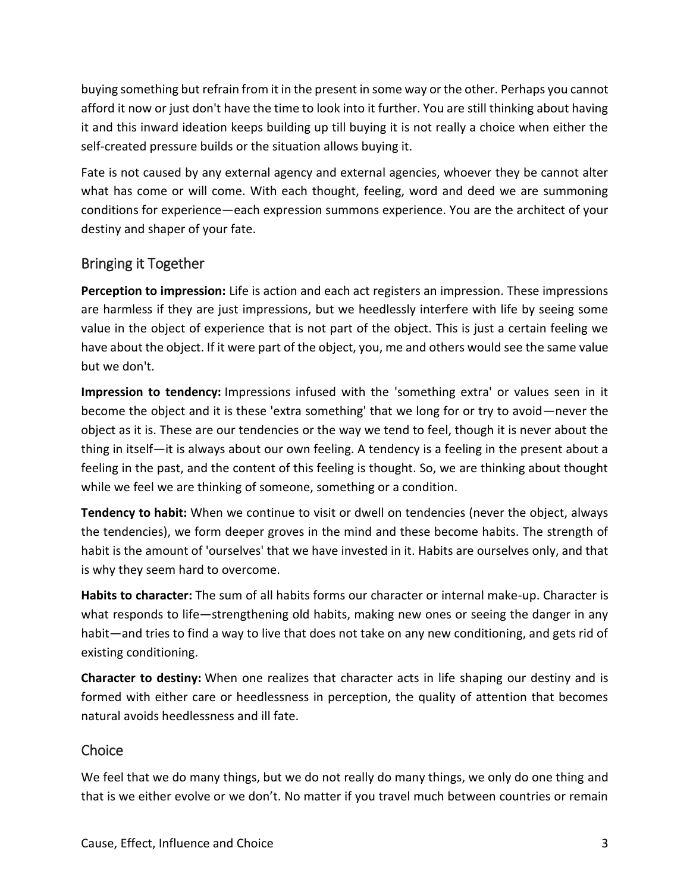buying something but refrain from it in the present in some way or the other. Perhaps you cannot afford it now or just don't have the time to look into it further. You are still thinking about having it and this inward ideation keeps building up till buying it is not really a choice when either the self-created pressure builds or the situation allows buying it.

Fate is not caused by any external agency and external agencies, whoever they be cannot alter what has come or will come. With each thought, feeling, word and deed we are summoning conditions for experience—each expression summons experience. You are the architect of your destiny and shaper of your fate.

## Bringing it Together

**Perception to impression:** Life is action and each act registers an impression. These impressions are harmless if they are just impressions, but we heedlessly interfere with life by seeing some value in the object of experience that is not part of the object. This is just a certain feeling we have about the object. If it were part of the object, you, me and others would see the same value but we don't.

**Impression to tendency:** Impressions infused with the 'something extra' or values seen in it become the object and it is these 'extra something' that we long for or try to avoid—never the object as it is. These are our tendencies or the way we tend to feel, though it is never about the thing in itself—it is always about our own feeling. A tendency is a feeling in the present about a feeling in the past, and the content of this feeling is thought. So, we are thinking about thought while we feel we are thinking of someone, something or a condition.

**Tendency to habit:** When we continue to visit or dwell on tendencies (never the object, always the tendencies), we form deeper groves in the mind and these become habits. The strength of habit is the amount of 'ourselves' that we have invested in it. Habits are ourselves only, and that is why they seem hard to overcome.

**Habits to character:** The sum of all habits forms our character or internal make-up. Character is what responds to life—strengthening old habits, making new ones or seeing the danger in any habit—and tries to find a way to live that does not take on any new conditioning, and gets rid of existing conditioning.

**Character to destiny:** When one realizes that character acts in life shaping our destiny and is formed with either care or heedlessness in perception, the quality of attention that becomes natural avoids heedlessness and ill fate.

## **Choice**

We feel that we do many things, but we do not really do many things, we only do one thing and that is we either evolve or we don't. No matter if you travel much between countries or remain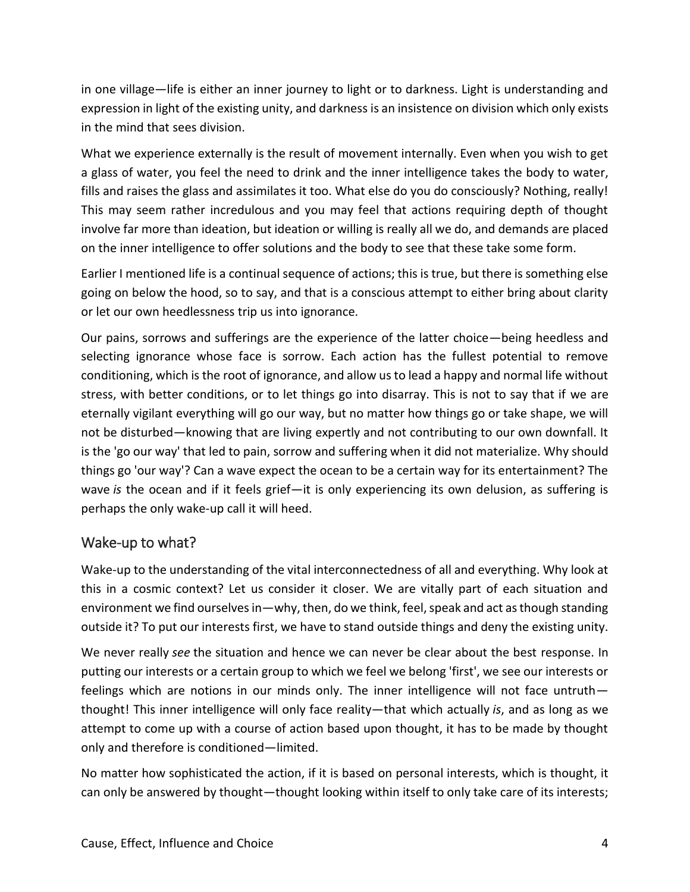in one village—life is either an inner journey to light or to darkness. Light is understanding and expression in light of the existing unity, and darkness is an insistence on division which only exists in the mind that sees division.

What we experience externally is the result of movement internally. Even when you wish to get a glass of water, you feel the need to drink and the inner intelligence takes the body to water, fills and raises the glass and assimilates it too. What else do you do consciously? Nothing, really! This may seem rather incredulous and you may feel that actions requiring depth of thought involve far more than ideation, but ideation or willing is really all we do, and demands are placed on the inner intelligence to offer solutions and the body to see that these take some form.

Earlier I mentioned life is a continual sequence of actions; this is true, but there is something else going on below the hood, so to say, and that is a conscious attempt to either bring about clarity or let our own heedlessness trip us into ignorance.

Our pains, sorrows and sufferings are the experience of the latter choice—being heedless and selecting ignorance whose face is sorrow. Each action has the fullest potential to remove conditioning, which is the root of ignorance, and allow us to lead a happy and normal life without stress, with better conditions, or to let things go into disarray. This is not to say that if we are eternally vigilant everything will go our way, but no matter how things go or take shape, we will not be disturbed—knowing that are living expertly and not contributing to our own downfall. It is the 'go our way' that led to pain, sorrow and suffering when it did not materialize. Why should things go 'our way'? Can a wave expect the ocean to be a certain way for its entertainment? The wave *is* the ocean and if it feels grief—it is only experiencing its own delusion, as suffering is perhaps the only wake-up call it will heed.

## Wake-up to what?

Wake-up to the understanding of the vital interconnectedness of all and everything. Why look at this in a cosmic context? Let us consider it closer. We are vitally part of each situation and environment we find ourselves in—why, then, do we think, feel, speak and act as though standing outside it? To put our interests first, we have to stand outside things and deny the existing unity.

We never really *see* the situation and hence we can never be clear about the best response. In putting our interests or a certain group to which we feel we belong 'first', we see our interests or feelings which are notions in our minds only. The inner intelligence will not face untruth thought! This inner intelligence will only face reality—that which actually *is*, and as long as we attempt to come up with a course of action based upon thought, it has to be made by thought only and therefore is conditioned—limited.

No matter how sophisticated the action, if it is based on personal interests, which is thought, it can only be answered by thought—thought looking within itself to only take care of its interests;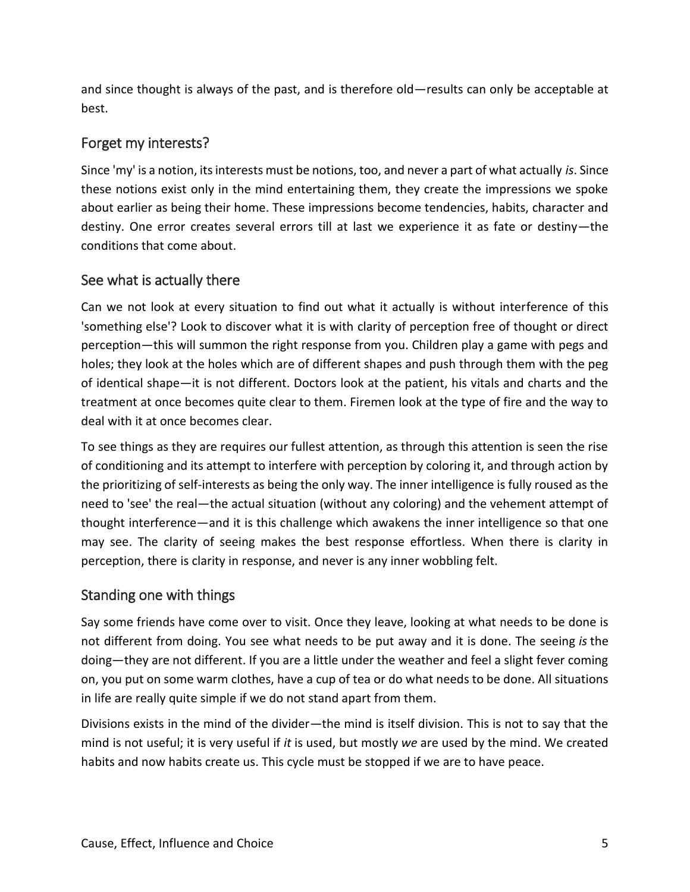and since thought is always of the past, and is therefore old—results can only be acceptable at best.

## Forget my interests?

Since 'my' is a notion, its interests must be notions, too, and never a part of what actually *is*. Since these notions exist only in the mind entertaining them, they create the impressions we spoke about earlier as being their home. These impressions become tendencies, habits, character and destiny. One error creates several errors till at last we experience it as fate or destiny—the conditions that come about.

#### See what is actually there

Can we not look at every situation to find out what it actually is without interference of this 'something else'? Look to discover what it is with clarity of perception free of thought or direct perception—this will summon the right response from you. Children play a game with pegs and holes; they look at the holes which are of different shapes and push through them with the peg of identical shape—it is not different. Doctors look at the patient, his vitals and charts and the treatment at once becomes quite clear to them. Firemen look at the type of fire and the way to deal with it at once becomes clear.

To see things as they are requires our fullest attention, as through this attention is seen the rise of conditioning and its attempt to interfere with perception by coloring it, and through action by the prioritizing of self-interests as being the only way. The inner intelligence is fully roused as the need to 'see' the real—the actual situation (without any coloring) and the vehement attempt of thought interference—and it is this challenge which awakens the inner intelligence so that one may see. The clarity of seeing makes the best response effortless. When there is clarity in perception, there is clarity in response, and never is any inner wobbling felt.

#### Standing one with things

Say some friends have come over to visit. Once they leave, looking at what needs to be done is not different from doing. You see what needs to be put away and it is done. The seeing *is* the doing—they are not different. If you are a little under the weather and feel a slight fever coming on, you put on some warm clothes, have a cup of tea or do what needs to be done. All situations in life are really quite simple if we do not stand apart from them.

Divisions exists in the mind of the divider—the mind is itself division. This is not to say that the mind is not useful; it is very useful if *it* is used, but mostly *we* are used by the mind. We created habits and now habits create us. This cycle must be stopped if we are to have peace.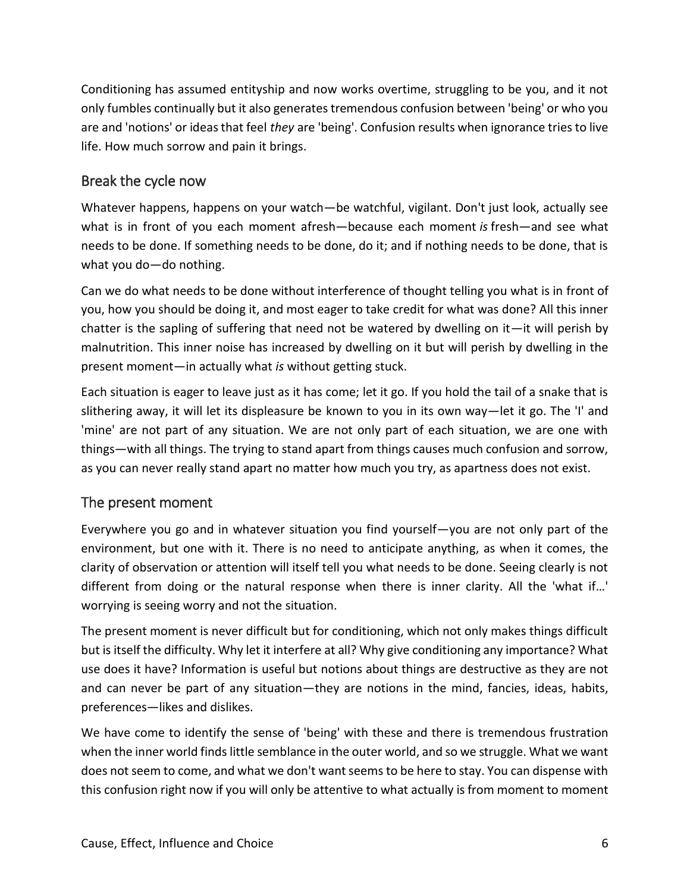Conditioning has assumed entityship and now works overtime, struggling to be you, and it not only fumbles continually but it also generates tremendous confusion between 'being' or who you are and 'notions' or ideas that feel *they* are 'being'. Confusion results when ignorance tries to live life. How much sorrow and pain it brings.

## Break the cycle now

Whatever happens, happens on your watch—be watchful, vigilant. Don't just look, actually see what is in front of you each moment afresh—because each moment *is* fresh—and see what needs to be done. If something needs to be done, do it; and if nothing needs to be done, that is what you do—do nothing.

Can we do what needs to be done without interference of thought telling you what is in front of you, how you should be doing it, and most eager to take credit for what was done? All this inner chatter is the sapling of suffering that need not be watered by dwelling on it—it will perish by malnutrition. This inner noise has increased by dwelling on it but will perish by dwelling in the present moment—in actually what *is* without getting stuck.

Each situation is eager to leave just as it has come; let it go. If you hold the tail of a snake that is slithering away, it will let its displeasure be known to you in its own way—let it go. The 'I' and 'mine' are not part of any situation. We are not only part of each situation, we are one with things—with all things. The trying to stand apart from things causes much confusion and sorrow, as you can never really stand apart no matter how much you try, as apartness does not exist.

## The present moment

Everywhere you go and in whatever situation you find yourself—you are not only part of the environment, but one with it. There is no need to anticipate anything, as when it comes, the clarity of observation or attention will itself tell you what needs to be done. Seeing clearly is not different from doing or the natural response when there is inner clarity. All the 'what if…' worrying is seeing worry and not the situation.

The present moment is never difficult but for conditioning, which not only makes things difficult but is itself the difficulty. Why let it interfere at all? Why give conditioning any importance? What use does it have? Information is useful but notions about things are destructive as they are not and can never be part of any situation—they are notions in the mind, fancies, ideas, habits, preferences—likes and dislikes.

We have come to identify the sense of 'being' with these and there is tremendous frustration when the inner world finds little semblance in the outer world, and so we struggle. What we want does not seem to come, and what we don't want seems to be here to stay. You can dispense with this confusion right now if you will only be attentive to what actually is from moment to moment